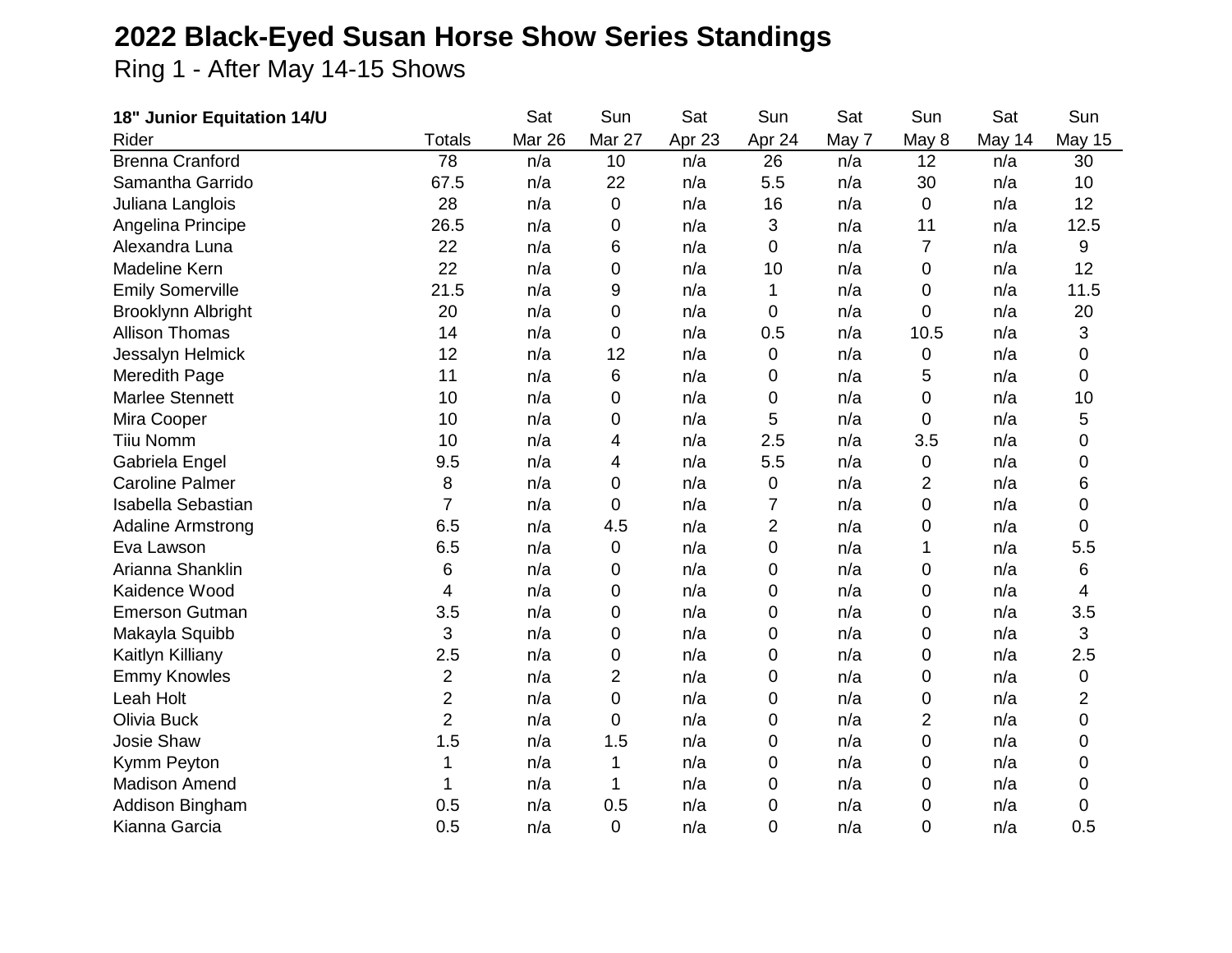## **2022 Black-Eyed Susan Horse Show Series Standings**

Ring 1 - After May 14-15 Shows

| 18" Junior Equitation 14/U |                         | Sat    | Sun            | Sat    | Sun       | Sat   | Sun            | Sat    | Sun            |
|----------------------------|-------------------------|--------|----------------|--------|-----------|-------|----------------|--------|----------------|
| Rider                      | <b>Totals</b>           | Mar 26 | Mar 27         | Apr 23 | Apr 24    | May 7 | May 8          | May 14 | <b>May 15</b>  |
| <b>Brenna Cranford</b>     | 78                      | n/a    | 10             | n/a    | 26        | n/a   | 12             | n/a    | 30             |
| Samantha Garrido           | 67.5                    | n/a    | 22             | n/a    | 5.5       | n/a   | 30             | n/a    | 10             |
| Juliana Langlois           | 28                      | n/a    | $\mathbf 0$    | n/a    | 16        | n/a   | 0              | n/a    | 12             |
| Angelina Principe          | 26.5                    | n/a    | 0              | n/a    | 3         | n/a   | 11             | n/a    | 12.5           |
| Alexandra Luna             | 22                      | n/a    | 6              | n/a    | 0         | n/a   | 7              | n/a    | 9              |
| Madeline Kern              | 22                      | n/a    | 0              | n/a    | 10        | n/a   | 0              | n/a    | 12             |
| <b>Emily Somerville</b>    | 21.5                    | n/a    | 9              | n/a    | 1         | n/a   | 0              | n/a    | 11.5           |
| Brooklynn Albright         | 20                      | n/a    | 0              | n/a    | 0         | n/a   | 0              | n/a    | 20             |
| <b>Allison Thomas</b>      | 14                      | n/a    | 0              | n/a    | 0.5       | n/a   | 10.5           | n/a    | 3              |
| Jessalyn Helmick           | 12                      | n/a    | 12             | n/a    | 0         | n/a   | 0              | n/a    | 0              |
| Meredith Page              | 11                      | n/a    | 6              | n/a    | 0         | n/a   | 5              | n/a    | $\mathbf 0$    |
| <b>Marlee Stennett</b>     | 10                      | n/a    | 0              | n/a    | 0         | n/a   | 0              | n/a    | 10             |
| Mira Cooper                | 10                      | n/a    | 0              | n/a    | 5         | n/a   | 0              | n/a    | 5              |
| <b>Tiiu Nomm</b>           | 10                      | n/a    | 4              | n/a    | 2.5       | n/a   | 3.5            | n/a    | 0              |
| Gabriela Engel             | 9.5                     | n/a    | 4              | n/a    | 5.5       | n/a   | 0              | n/a    | $\mathbf 0$    |
| <b>Caroline Palmer</b>     | 8                       | n/a    | 0              | n/a    | $\pmb{0}$ | n/a   | $\overline{2}$ | n/a    | 6              |
| <b>Isabella Sebastian</b>  | $\overline{7}$          | n/a    | 0              | n/a    | 7         | n/a   | 0              | n/a    | 0              |
| <b>Adaline Armstrong</b>   | 6.5                     | n/a    | 4.5            | n/a    | 2         | n/a   | 0              | n/a    | 0              |
| Eva Lawson                 | 6.5                     | n/a    | 0              | n/a    | 0         | n/a   | 1              | n/a    | 5.5            |
| Arianna Shanklin           | 6                       | n/a    | 0              | n/a    | 0         | n/a   | 0              | n/a    | 6              |
| Kaidence Wood              | 4                       | n/a    | 0              | n/a    | 0         | n/a   | 0              | n/a    | 4              |
| <b>Emerson Gutman</b>      | 3.5                     | n/a    | 0              | n/a    | 0         | n/a   | 0              | n/a    | 3.5            |
| Makayla Squibb             | 3                       | n/a    | 0              | n/a    | 0         | n/a   | 0              | n/a    | 3              |
| Kaitlyn Killiany           | 2.5                     | n/a    | 0              | n/a    | 0         | n/a   | 0              | n/a    | 2.5            |
| <b>Emmy Knowles</b>        | $\overline{\mathbf{c}}$ | n/a    | $\overline{2}$ | n/a    | 0         | n/a   | 0              | n/a    | 0              |
| Leah Holt                  | $\overline{2}$          | n/a    | 0              | n/a    | 0         | n/a   | 0              | n/a    | $\overline{2}$ |
| Olivia Buck                | $\overline{2}$          | n/a    | 0              | n/a    | 0         | n/a   | $\overline{2}$ | n/a    | $\pmb{0}$      |
| <b>Josie Shaw</b>          | 1.5                     | n/a    | 1.5            | n/a    | 0         | n/a   | 0              | n/a    | 0              |
| Kymm Peyton                |                         | n/a    | 1              | n/a    | 0         | n/a   | 0              | n/a    | 0              |
| <b>Madison Amend</b>       |                         | n/a    | 1              | n/a    | 0         | n/a   | 0              | n/a    | 0              |
| Addison Bingham            | 0.5                     | n/a    | 0.5            | n/a    | 0         | n/a   | 0              | n/a    | 0              |
| Kianna Garcia              | 0.5                     | n/a    | 0              | n/a    | 0         | n/a   | 0              | n/a    | 0.5            |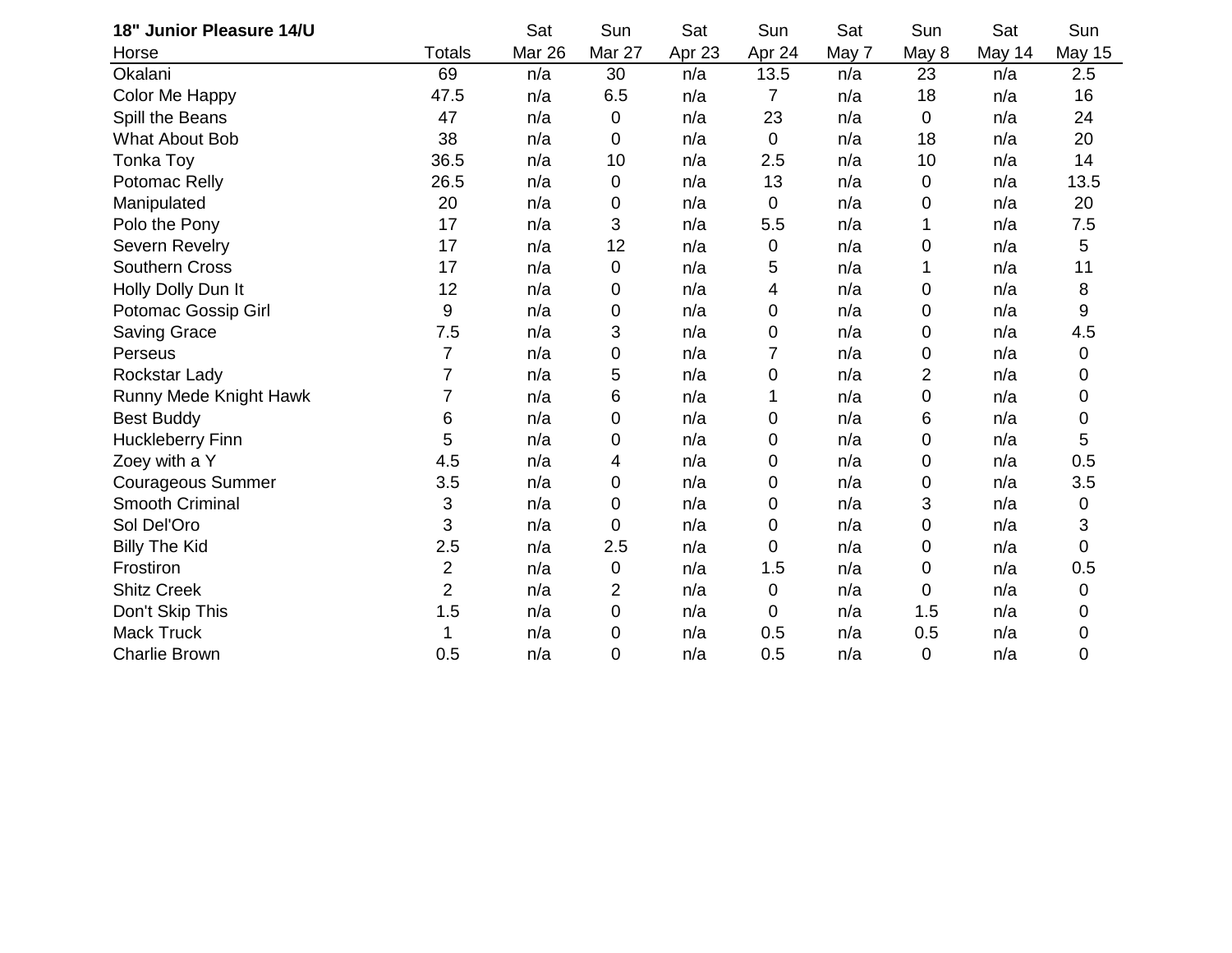| 18" Junior Pleasure 14/U |                         | Sat    | Sun    | Sat    | Sun         | Sat   | Sun         | Sat    | Sun           |
|--------------------------|-------------------------|--------|--------|--------|-------------|-------|-------------|--------|---------------|
| Horse                    | <b>Totals</b>           | Mar 26 | Mar 27 | Apr 23 | Apr 24      | May 7 | May 8       | May 14 | <b>May 15</b> |
| Okalani                  | 69                      | n/a    | 30     | n/a    | 13.5        | n/a   | 23          | n/a    | 2.5           |
| Color Me Happy           | 47.5                    | n/a    | 6.5    | n/a    | 7           | n/a   | 18          | n/a    | 16            |
| Spill the Beans          | 47                      | n/a    | 0      | n/a    | 23          | n/a   | 0           | n/a    | 24            |
| <b>What About Bob</b>    | 38                      | n/a    | 0      | n/a    | $\mathbf 0$ | n/a   | 18          | n/a    | 20            |
| Tonka Toy                | 36.5                    | n/a    | 10     | n/a    | 2.5         | n/a   | 10          | n/a    | 14            |
| Potomac Relly            | 26.5                    | n/a    | 0      | n/a    | 13          | n/a   | 0           | n/a    | 13.5          |
| Manipulated              | 20                      | n/a    | 0      | n/a    | 0           | n/a   | 0           | n/a    | 20            |
| Polo the Pony            | 17                      | n/a    | 3      | n/a    | 5.5         | n/a   | 1           | n/a    | 7.5           |
| <b>Severn Revelry</b>    | 17                      | n/a    | 12     | n/a    | 0           | n/a   | 0           | n/a    | 5             |
| <b>Southern Cross</b>    | 17                      | n/a    | 0      | n/a    | 5           | n/a   | 1           | n/a    | 11            |
| Holly Dolly Dun It       | 12                      | n/a    | 0      | n/a    | 4           | n/a   | 0           | n/a    | 8             |
| Potomac Gossip Girl      | 9                       | n/a    | 0      | n/a    | 0           | n/a   | 0           | n/a    | 9             |
| Saving Grace             | 7.5                     | n/a    | 3      | n/a    | 0           | n/a   | 0           | n/a    | 4.5           |
| Perseus                  | $\overline{7}$          | n/a    | 0      | n/a    | 7           | n/a   | 0           | n/a    | 0             |
| Rockstar Lady            | 7                       | n/a    | 5      | n/a    | 0           | n/a   | 2           | n/a    | 0             |
| Runny Mede Knight Hawk   | 7                       | n/a    | 6      | n/a    | 1           | n/a   | 0           | n/a    | 0             |
| <b>Best Buddy</b>        | 6                       | n/a    | 0      | n/a    | 0           | n/a   | 6           | n/a    | 0             |
| Huckleberry Finn         | 5                       | n/a    | 0      | n/a    | 0           | n/a   | 0           | n/a    | $\sqrt{5}$    |
| Zoey with a Y            | 4.5                     | n/a    | 4      | n/a    | 0           | n/a   | 0           | n/a    | 0.5           |
| Courageous Summer        | 3.5                     | n/a    | 0      | n/a    | 0           | n/a   | 0           | n/a    | 3.5           |
| <b>Smooth Criminal</b>   | 3                       | n/a    | 0      | n/a    | 0           | n/a   | 3           | n/a    | 0             |
| Sol Del'Oro              | 3                       | n/a    | 0      | n/a    | 0           | n/a   | 0           | n/a    | 3             |
| <b>Billy The Kid</b>     | 2.5                     | n/a    | 2.5    | n/a    | 0           | n/a   | 0           | n/a    | 0             |
| Frostiron                | $\overline{\mathbf{c}}$ | n/a    | 0      | n/a    | 1.5         | n/a   | 0           | n/a    | 0.5           |
| <b>Shitz Creek</b>       | $\overline{2}$          | n/a    | 2      | n/a    | 0           | n/a   | 0           | n/a    | 0             |
| Don't Skip This          | 1.5                     | n/a    | 0      | n/a    | 0           | n/a   | 1.5         | n/a    | 0             |
| <b>Mack Truck</b>        | 1                       | n/a    | 0      | n/a    | 0.5         | n/a   | 0.5         | n/a    | 0             |
| <b>Charlie Brown</b>     | 0.5                     | n/a    | 0      | n/a    | 0.5         | n/a   | $\mathbf 0$ | n/a    | 0             |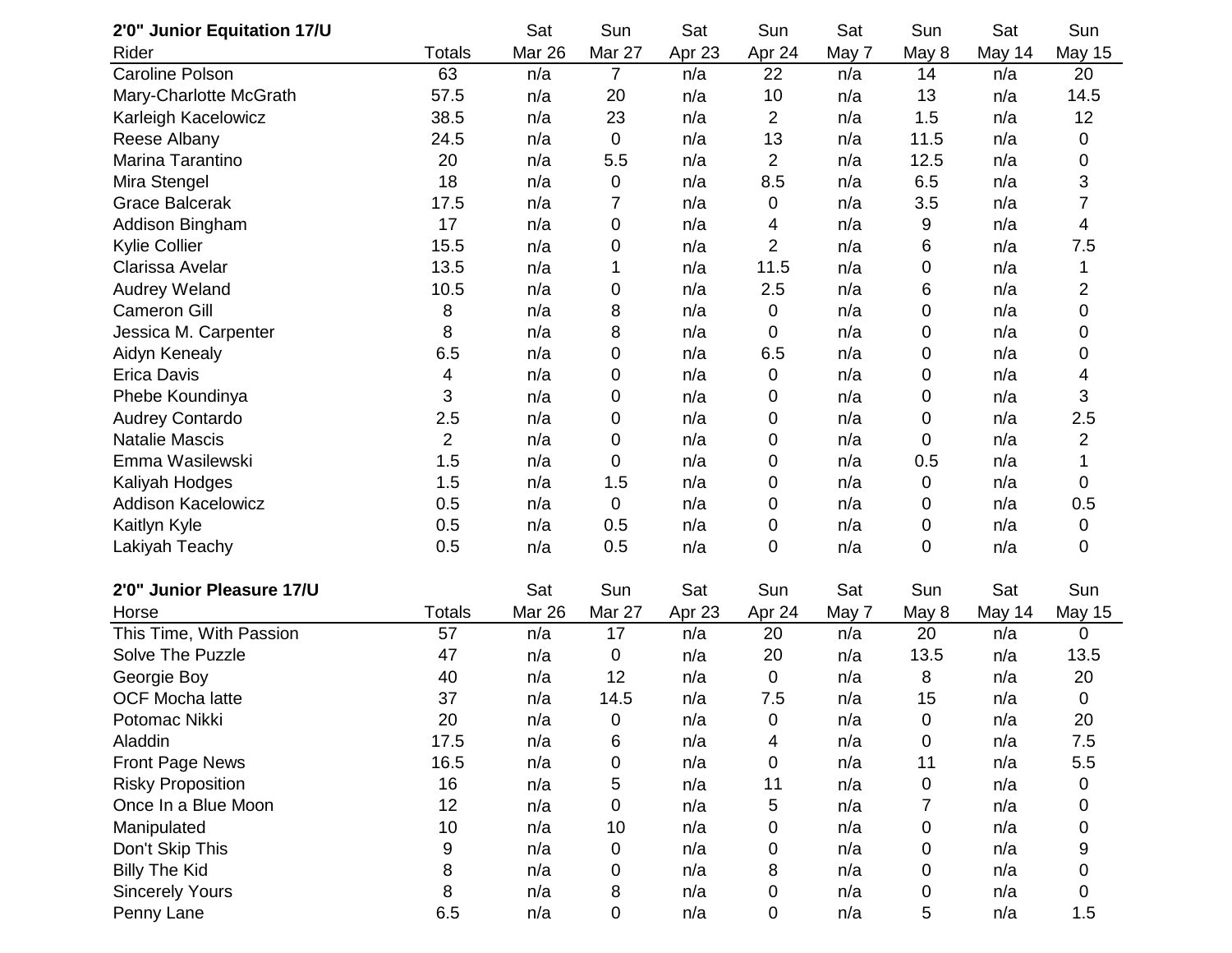| 2'0" Junior Equitation 17/U |                | Sat    | Sun       | Sat    | Sun         | Sat   | Sun   | Sat    | Sun            |
|-----------------------------|----------------|--------|-----------|--------|-------------|-------|-------|--------|----------------|
| Rider                       | Totals         | Mar 26 | Mar 27    | Apr 23 | Apr 24      | May 7 | May 8 | May 14 | <b>May 15</b>  |
| <b>Caroline Polson</b>      | 63             | n/a    | 7         | n/a    | 22          | n/a   | 14    | n/a    | 20             |
| Mary-Charlotte McGrath      | 57.5           | n/a    | 20        | n/a    | 10          | n/a   | 13    | n/a    | 14.5           |
| Karleigh Kacelowicz         | 38.5           | n/a    | 23        | n/a    | 2           | n/a   | 1.5   | n/a    | 12             |
| Reese Albany                | 24.5           | n/a    | $\pmb{0}$ | n/a    | 13          | n/a   | 11.5  | n/a    | 0              |
| Marina Tarantino            | 20             | n/a    | 5.5       | n/a    | 2           | n/a   | 12.5  | n/a    | 0              |
| Mira Stengel                | 18             | n/a    | 0         | n/a    | 8.5         | n/a   | 6.5   | n/a    | 3              |
| <b>Grace Balcerak</b>       | 17.5           | n/a    | 7         | n/a    | 0           | n/a   | 3.5   | n/a    | $\overline{7}$ |
| Addison Bingham             | 17             | n/a    | 0         | n/a    | 4           | n/a   | 9     | n/a    | 4              |
| Kylie Collier               | 15.5           | n/a    | 0         | n/a    | 2           | n/a   | 6     | n/a    | 7.5            |
| Clarissa Avelar             | 13.5           | n/a    | 1         | n/a    | 11.5        | n/a   | 0     | n/a    | 1              |
| Audrey Weland               | 10.5           | n/a    | 0         | n/a    | 2.5         | n/a   | 6     | n/a    | $\overline{c}$ |
| <b>Cameron Gill</b>         | 8              | n/a    | 8         | n/a    | 0           | n/a   | 0     | n/a    | 0              |
| Jessica M. Carpenter        | 8              | n/a    | 8         | n/a    | 0           | n/a   | 0     | n/a    | 0              |
| Aidyn Kenealy               | 6.5            | n/a    | 0         | n/a    | 6.5         | n/a   | 0     | n/a    | 0              |
| <b>Erica Davis</b>          | 4              | n/a    | 0         | n/a    | 0           | n/a   | 0     | n/a    | 4              |
| Phebe Koundinya             | 3              | n/a    | 0         | n/a    | 0           | n/a   | 0     | n/a    | 3              |
| <b>Audrey Contardo</b>      | 2.5            | n/a    | 0         | n/a    | 0           | n/a   | 0     | n/a    | 2.5            |
| <b>Natalie Mascis</b>       | $\overline{2}$ | n/a    | 0         | n/a    | 0           | n/a   | 0     | n/a    | 2              |
| Emma Wasilewski             | 1.5            | n/a    | 0         | n/a    | 0           | n/a   | 0.5   | n/a    |                |
| Kaliyah Hodges              | 1.5            | n/a    | 1.5       | n/a    | 0           | n/a   | 0     | n/a    | 0              |
| <b>Addison Kacelowicz</b>   | 0.5            | n/a    | $\pmb{0}$ | n/a    | 0           | n/a   | 0     | n/a    | 0.5            |
| Kaitlyn Kyle                | 0.5            | n/a    | 0.5       | n/a    | 0           | n/a   | 0     | n/a    | 0              |
| Lakiyah Teachy              | 0.5            | n/a    | 0.5       | n/a    | 0           | n/a   | 0     | n/a    | 0              |
| 2'0" Junior Pleasure 17/U   |                | Sat    | Sun       | Sat    | Sun         | Sat   | Sun   | Sat    | Sun            |
| Horse                       | <b>Totals</b>  | Mar 26 | Mar 27    | Apr 23 | Apr 24      | May 7 | May 8 | May 14 | <b>May 15</b>  |
| This Time, With Passion     | 57             | n/a    | 17        | n/a    | 20          | n/a   | 20    | n/a    | $\mathbf 0$    |
| Solve The Puzzle            | 47             | n/a    | 0         | n/a    | 20          | n/a   | 13.5  | n/a    | 13.5           |
| Georgie Boy                 | 40             | n/a    | 12        | n/a    | $\mathbf 0$ | n/a   | 8     | n/a    | 20             |
| <b>OCF Mocha latte</b>      | 37             | n/a    | 14.5      | n/a    | 7.5         | n/a   | 15    | n/a    | $\mathbf 0$    |
| Potomac Nikki               | 20             | n/a    | 0         | n/a    | $\pmb{0}$   | n/a   | 0     | n/a    | 20             |
| Aladdin                     | 17.5           | n/a    | 6         | n/a    | 4           | n/a   | 0     | n/a    | 7.5            |
| Front Page News             | 16.5           | n/a    | 0         | n/a    | 0           | n/a   | 11    | n/a    | 5.5            |
| <b>Risky Proposition</b>    | 16             | n/a    | 5         | n/a    | 11          | n/a   | 0     | n/a    | 0              |
| Once In a Blue Moon         | 12             | n/a    | 0         | n/a    | 5           | n/a   | 7     | n/a    | 0              |
| Manipulated                 | 10             | n/a    | 10        | n/a    | 0           | n/a   | 0     | n/a    | 0              |
| Don't Skip This             | 9              | n/a    | 0         | n/a    | 0           | n/a   | 0     | n/a    | 9              |
| <b>Billy The Kid</b>        | 8              | n/a    | 0         | n/a    | 8           | n/a   | 0     | n/a    | 0              |
| <b>Sincerely Yours</b>      | 8              | n/a    | 8         | n/a    | 0           | n/a   | 0     | n/a    | 0              |
| Penny Lane                  | 6.5            | n/a    | 0         | n/a    | 0           | n/a   | 5     | n/a    | 1.5            |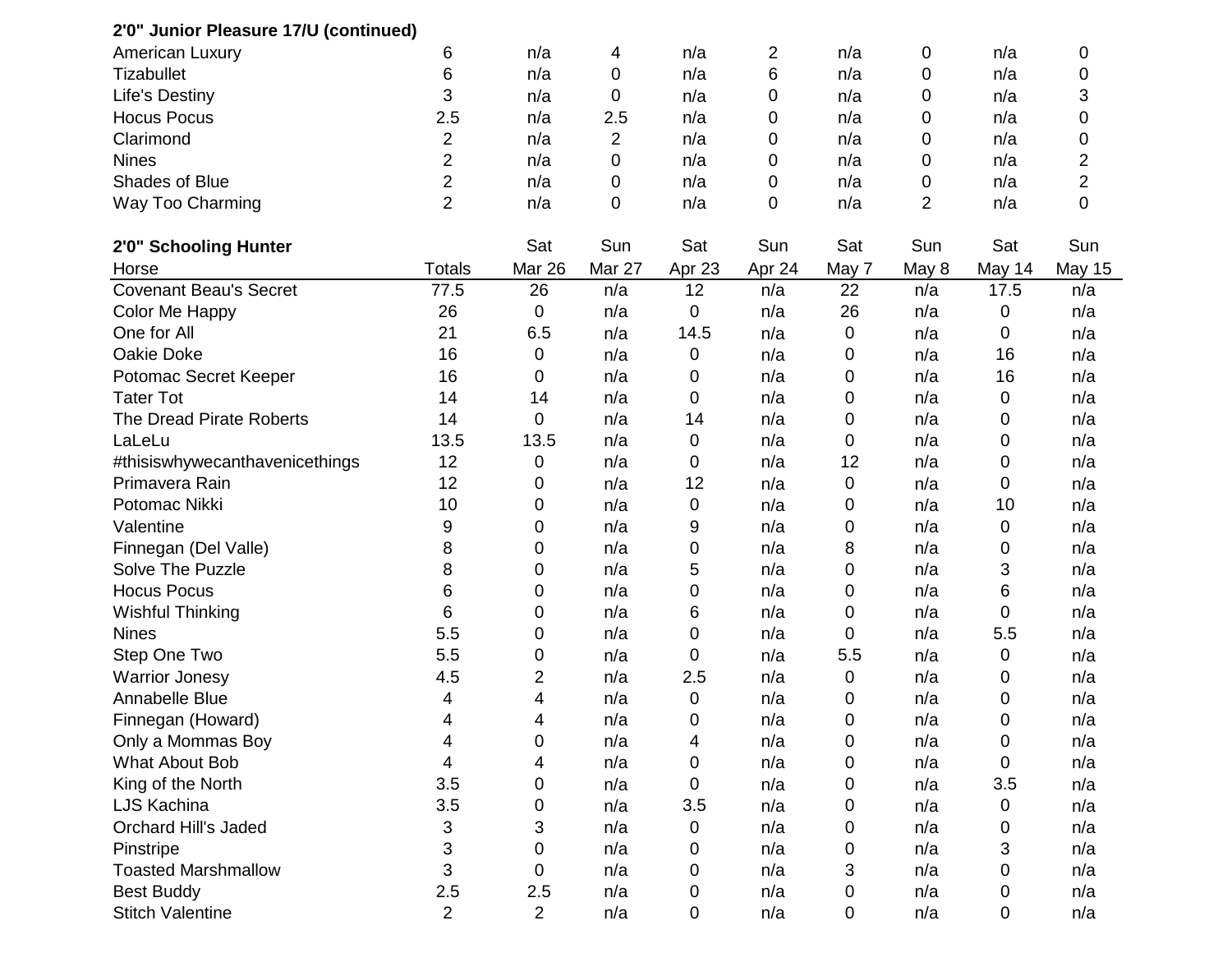| 2'0" Junior Pleasure 17/U (continued) |                |                |        |        |        |       |       |        |                |
|---------------------------------------|----------------|----------------|--------|--------|--------|-------|-------|--------|----------------|
| <b>American Luxury</b>                | 6              | n/a            | 4      | n/a    | 2      | n/a   | 0     | n/a    | 0              |
| <b>Tizabullet</b>                     | 6              | n/a            | 0      | n/a    | 6      | n/a   | 0     | n/a    | 0              |
| Life's Destiny                        | 3              | n/a            | 0      | n/a    | 0      | n/a   | 0     | n/a    | 3              |
| <b>Hocus Pocus</b>                    | 2.5            | n/a            | 2.5    | n/a    | 0      | n/a   | 0     | n/a    | 0              |
| Clarimond                             | 2              | n/a            | 2      | n/a    | 0      | n/a   | 0     | n/a    | 0              |
| <b>Nines</b>                          | 2              | n/a            | 0      | n/a    | 0      | n/a   | 0     | n/a    | 2              |
| Shades of Blue                        | $\overline{2}$ | n/a            | 0      | n/a    | 0      | n/a   | 0     | n/a    | $\overline{2}$ |
| Way Too Charming                      | $\overline{2}$ | n/a            | 0      | n/a    | 0      | n/a   | 2     | n/a    | 0              |
| 2'0" Schooling Hunter                 |                | Sat            | Sun    | Sat    | Sun    | Sat   | Sun   | Sat    | Sun            |
| Horse                                 | <b>Totals</b>  | Mar 26         | Mar 27 | Apr 23 | Apr 24 | May 7 | May 8 | May 14 | <b>May 15</b>  |
| <b>Covenant Beau's Secret</b>         | 77.5           | 26             | n/a    | 12     | n/a    | 22    | n/a   | 17.5   | n/a            |
| Color Me Happy                        | 26             | 0              | n/a    | 0      | n/a    | 26    | n/a   | 0      | n/a            |
| One for All                           | 21             | 6.5            | n/a    | 14.5   | n/a    | 0     | n/a   | 0      | n/a            |
| Oakie Doke                            | 16             | 0              | n/a    | 0      | n/a    | 0     | n/a   | 16     | n/a            |
| Potomac Secret Keeper                 | 16             | 0              | n/a    | 0      | n/a    | 0     | n/a   | 16     | n/a            |
| <b>Tater Tot</b>                      | 14             | 14             | n/a    | 0      | n/a    | 0     | n/a   | 0      | n/a            |
| The Dread Pirate Roberts              | 14             | $\mathbf 0$    | n/a    | 14     | n/a    | 0     | n/a   | 0      | n/a            |
| LaLeLu                                | 13.5           | 13.5           | n/a    | 0      | n/a    | 0     | n/a   | 0      | n/a            |
| #thisiswhywecanthavenicethings        | 12             | 0              | n/a    | 0      | n/a    | 12    | n/a   | 0      | n/a            |
| Primavera Rain                        | 12             | 0              | n/a    | 12     | n/a    | 0     | n/a   | 0      | n/a            |
| Potomac Nikki                         | 10             | 0              | n/a    | 0      | n/a    | 0     | n/a   | 10     | n/a            |
| Valentine                             | 9              | 0              | n/a    | 9      | n/a    | 0     | n/a   | 0      | n/a            |
| Finnegan (Del Valle)                  | 8              | 0              | n/a    | 0      | n/a    | 8     | n/a   | 0      | n/a            |
| Solve The Puzzle                      | 8              | 0              | n/a    | 5      | n/a    | 0     | n/a   | 3      | n/a            |
| <b>Hocus Pocus</b>                    | 6              | 0              | n/a    | 0      | n/a    | 0     | n/a   | 6      | n/a            |
| <b>Wishful Thinking</b>               | 6              | 0              | n/a    | 6      | n/a    | 0     | n/a   | 0      | n/a            |
| <b>Nines</b>                          | 5.5            | 0              | n/a    | 0      | n/a    | 0     | n/a   | 5.5    | n/a            |
| Step One Two                          | 5.5            | 0              | n/a    | 0      | n/a    | 5.5   | n/a   | 0      | n/a            |
| <b>Warrior Jonesy</b>                 | 4.5            | 2              | n/a    | 2.5    | n/a    | 0     | n/a   | 0      | n/a            |
| Annabelle Blue                        | 4              | 4              | n/a    | 0      | n/a    | 0     | n/a   | 0      | n/a            |
| Finnegan (Howard)                     | 4              | 4              | n/a    | 0      | n/a    | 0     | n/a   | 0      | n/a            |
| Only a Mommas Boy                     | 4              | 0              | n/a    | 4      | n/a    | 0     | n/a   | 0      | n/a            |
| What About Bob                        | 4              | 4              | n/a    | 0      | n/a    | 0     | n/a   | 0      | n/a            |
| King of the North                     | 3.5            | 0              | n/a    | 0      | n/a    | 0     | n/a   | 3.5    | n/a            |
| LJS Kachina                           | 3.5            | 0              | n/a    | 3.5    | n/a    | 0     | n/a   | 0      | n/a            |
| <b>Orchard Hill's Jaded</b>           | 3              | 3              | n/a    | 0      | n/a    | 0     | n/a   | 0      | n/a            |
| Pinstripe                             | 3              | 0              | n/a    | 0      | n/a    | 0     | n/a   | 3      | n/a            |
| <b>Toasted Marshmallow</b>            | 3              | 0              | n/a    | 0      | n/a    | 3     | n/a   | 0      | n/a            |
| <b>Best Buddy</b>                     | 2.5            | 2.5            | n/a    | 0      | n/a    | 0     | n/a   | 0      | n/a            |
| <b>Stitch Valentine</b>               | $\overline{2}$ | $\overline{2}$ | n/a    | 0      | n/a    | 0     | n/a   | 0      | n/a            |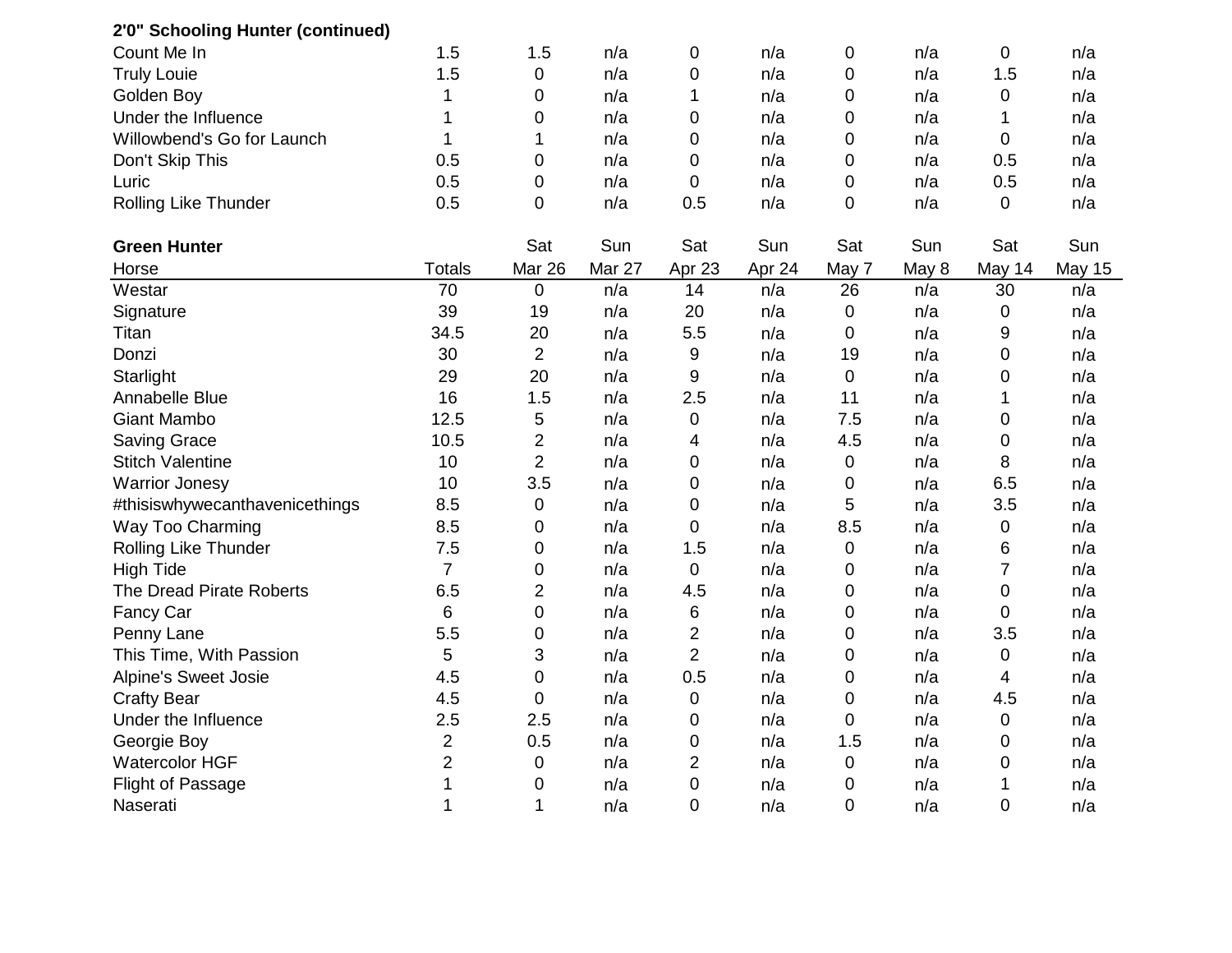| 2'0" Schooling Hunter (continued) |                |                |        |                |        |             |       |                |        |
|-----------------------------------|----------------|----------------|--------|----------------|--------|-------------|-------|----------------|--------|
| Count Me In                       | 1.5            | 1.5            | n/a    | $\mathbf 0$    | n/a    | $\mathbf 0$ | n/a   | $\mathbf 0$    | n/a    |
| <b>Truly Louie</b>                | 1.5            | $\mathbf 0$    | n/a    | 0              | n/a    | 0           | n/a   | 1.5            | n/a    |
| Golden Boy                        | 1              | $\mathbf 0$    | n/a    | 1              | n/a    | 0           | n/a   | $\pmb{0}$      | n/a    |
| Under the Influence               | 1              | $\mathbf 0$    | n/a    | 0              | n/a    | 0           | n/a   | 1              | n/a    |
| Willowbend's Go for Launch        | 1              | 1              | n/a    | 0              | n/a    | 0           | n/a   | 0              | n/a    |
| Don't Skip This                   | 0.5            | $\mathbf 0$    | n/a    | 0              | n/a    | 0           | n/a   | 0.5            | n/a    |
| Luric                             | 0.5            | $\mathbf 0$    | n/a    | $\overline{0}$ | n/a    | $\mathbf 0$ | n/a   | 0.5            | n/a    |
| Rolling Like Thunder              | 0.5            | $\overline{0}$ | n/a    | 0.5            | n/a    | 0           | n/a   | 0              | n/a    |
| <b>Green Hunter</b>               |                | Sat            | Sun    | Sat            | Sun    | Sat         | Sun   | Sat            | Sun    |
| Horse                             | <b>Totals</b>  | Mar 26         | Mar 27 | Apr 23         | Apr 24 | May 7       | May 8 | May 14         | May 15 |
| Westar                            | 70             | $\overline{0}$ | n/a    | 14             | n/a    | 26          | n/a   | 30             | n/a    |
| Signature                         | 39             | 19             | n/a    | 20             | n/a    | 0           | n/a   | 0              | n/a    |
| Titan                             | 34.5           | 20             | n/a    | 5.5            | n/a    | 0           | n/a   | 9              | n/a    |
| Donzi                             | 30             | $\overline{2}$ | n/a    | 9              | n/a    | 19          | n/a   | $\mathbf 0$    | n/a    |
| Starlight                         | 29             | 20             | n/a    | 9              | n/a    | 0           | n/a   | 0              | n/a    |
| Annabelle Blue                    | 16             | 1.5            | n/a    | 2.5            | n/a    | 11          | n/a   | 1              | n/a    |
| <b>Giant Mambo</b>                | 12.5           | 5              | n/a    | 0              | n/a    | 7.5         | n/a   | 0              | n/a    |
| <b>Saving Grace</b>               | 10.5           | $\overline{2}$ | n/a    | 4              | n/a    | 4.5         | n/a   | $\mathbf 0$    | n/a    |
| <b>Stitch Valentine</b>           | 10             | $\overline{2}$ | n/a    | 0              | n/a    | 0           | n/a   | 8              | n/a    |
| <b>Warrior Jonesy</b>             | 10             | 3.5            | n/a    | $\mathbf 0$    | n/a    | 0           | n/a   | 6.5            | n/a    |
| #thisiswhywecanthavenicethings    | 8.5            | $\mathbf 0$    | n/a    | 0              | n/a    | 5           | n/a   | 3.5            | n/a    |
| Way Too Charming                  | 8.5            | $\mathbf 0$    | n/a    | 0              | n/a    | 8.5         | n/a   | $\pmb{0}$      | n/a    |
| Rolling Like Thunder              | 7.5            | $\mathbf 0$    | n/a    | 1.5            | n/a    | 0           | n/a   | 6              | n/a    |
| <b>High Tide</b>                  | $\overline{7}$ | $\mathbf 0$    | n/a    | $\pmb{0}$      | n/a    | 0           | n/a   | $\overline{7}$ | n/a    |
| The Dread Pirate Roberts          | 6.5            | $\overline{2}$ | n/a    | 4.5            | n/a    | 0           | n/a   | $\mathbf 0$    | n/a    |
| Fancy Car                         | 6              | $\mathbf 0$    | n/a    | 6              | n/a    | $\mathbf 0$ | n/a   | $\mathbf 0$    | n/a    |
| Penny Lane                        | 5.5            | $\mathbf 0$    | n/a    | $\overline{c}$ | n/a    | 0           | n/a   | 3.5            | n/a    |
| This Time, With Passion           | 5              | 3              | n/a    | $\overline{2}$ | n/a    | 0           | n/a   | 0              | n/a    |
| Alpine's Sweet Josie              | 4.5            | $\mathbf 0$    | n/a    | 0.5            | n/a    | 0           | n/a   | 4              | n/a    |
| <b>Crafty Bear</b>                | 4.5            | $\mathbf 0$    | n/a    | $\mathbf 0$    | n/a    | $\mathbf 0$ | n/a   | 4.5            | n/a    |
| Under the Influence               | 2.5            | 2.5            | n/a    | 0              | n/a    | 0           | n/a   | $\pmb{0}$      | n/a    |
| Georgie Boy                       | $\overline{c}$ | 0.5            | n/a    | $\mathbf 0$    | n/a    | 1.5         | n/a   | $\mathbf 0$    | n/a    |
| <b>Watercolor HGF</b>             | $\overline{2}$ | $\mathbf 0$    | n/a    | $\overline{2}$ | n/a    | 0           | n/a   | $\mathbf 0$    | n/a    |
| <b>Flight of Passage</b>          | 1              | $\mathbf 0$    | n/a    | $\mathbf 0$    | n/a    | 0           | n/a   | 1              | n/a    |
| Naserati                          | 1              | 1              | n/a    | $\mathbf 0$    | n/a    | $\mathbf 0$ | n/a   | $\mathbf 0$    | n/a    |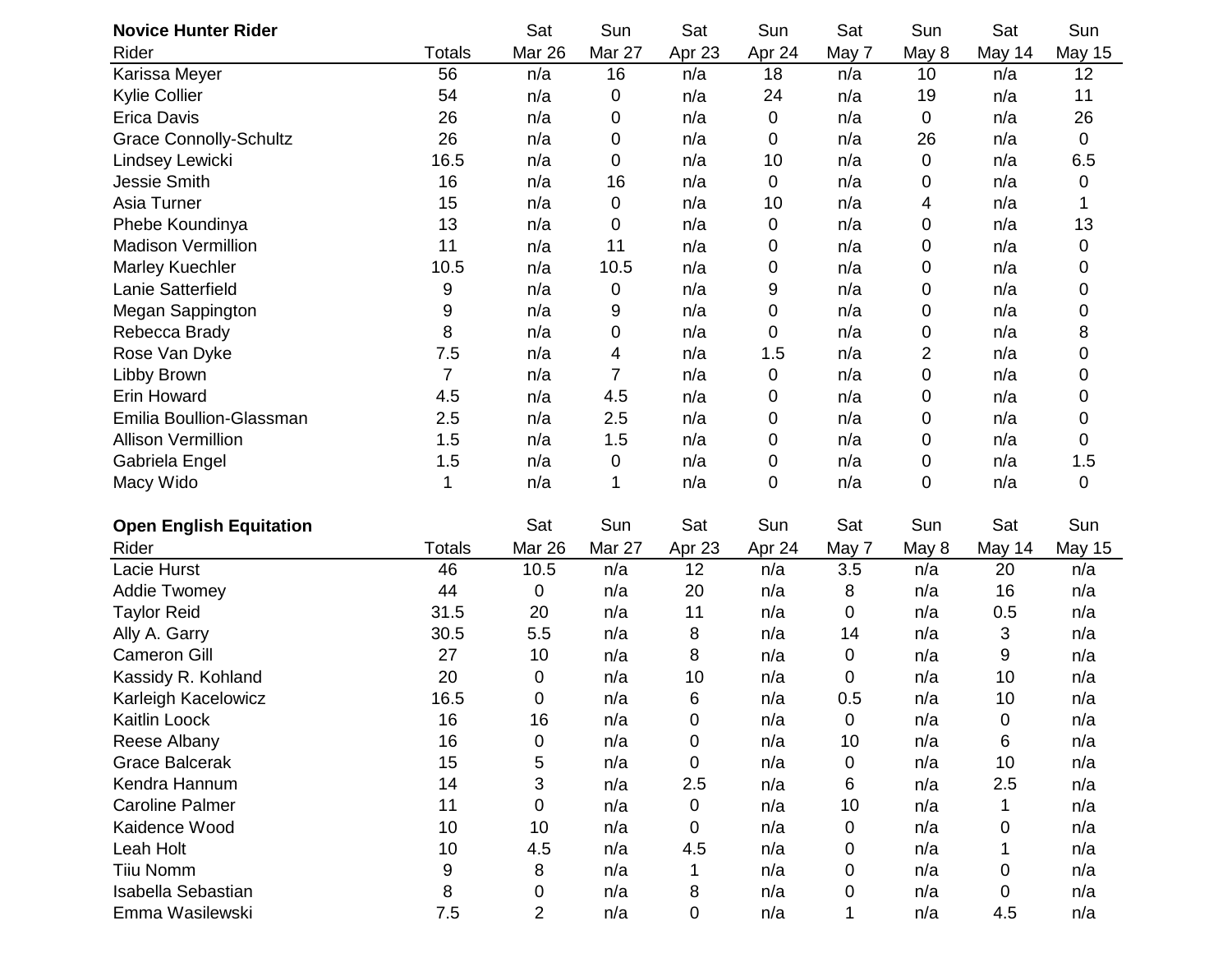| <b>Novice Hunter Rider</b>     |                | Sat            | Sun    | Sat         | Sun    | Sat   | Sun              | Sat       | Sun           |
|--------------------------------|----------------|----------------|--------|-------------|--------|-------|------------------|-----------|---------------|
| Rider                          | <b>Totals</b>  | Mar 26         | Mar 27 | Apr 23      | Apr 24 | May 7 | May 8            | May 14    | <b>May 15</b> |
| Karissa Meyer                  | 56             | n/a            | 16     | n/a         | 18     | n/a   | 10               | n/a       | 12            |
| <b>Kylie Collier</b>           | 54             | n/a            | 0      | n/a         | 24     | n/a   | 19               | n/a       | 11            |
| <b>Erica Davis</b>             | 26             | n/a            | 0      | n/a         | 0      | n/a   | 0                | n/a       | 26            |
| <b>Grace Connolly-Schultz</b>  | 26             | n/a            | 0      | n/a         | 0      | n/a   | 26               | n/a       | $\mathbf 0$   |
| Lindsey Lewicki                | 16.5           | n/a            | 0      | n/a         | 10     | n/a   | 0                | n/a       | 6.5           |
| <b>Jessie Smith</b>            | 16             | n/a            | 16     | n/a         | 0      | n/a   | 0                | n/a       | 0             |
| Asia Turner                    | 15             | n/a            | 0      | n/a         | 10     | n/a   | 4                | n/a       |               |
| Phebe Koundinya                | 13             | n/a            | 0      | n/a         | 0      | n/a   | 0                | n/a       | 13            |
| <b>Madison Vermillion</b>      | 11             | n/a            | 11     | n/a         | 0      | n/a   | 0                | n/a       | 0             |
| Marley Kuechler                | 10.5           | n/a            | 10.5   | n/a         | 0      | n/a   | 0                | n/a       | 0             |
| Lanie Satterfield              | 9              | n/a            | 0      | n/a         | 9      | n/a   | $\boldsymbol{0}$ | n/a       | 0             |
| Megan Sappington               | 9              | n/a            | 9      | n/a         | 0      | n/a   | 0                | n/a       | 0             |
| Rebecca Brady                  | 8              | n/a            | 0      | n/a         | 0      | n/a   | 0                | n/a       | 8             |
| Rose Van Dyke                  | 7.5            | n/a            | 4      | n/a         | 1.5    | n/a   | 2                | n/a       | 0             |
| Libby Brown                    | $\overline{7}$ | n/a            | 7      | n/a         | 0      | n/a   | $\mathbf 0$      | n/a       | 0             |
| <b>Erin Howard</b>             | 4.5            | n/a            | 4.5    | n/a         | 0      | n/a   | 0                | n/a       | 0             |
| Emilia Boullion-Glassman       | 2.5            | n/a            | 2.5    | n/a         | 0      | n/a   | 0                | n/a       | 0             |
| <b>Allison Vermillion</b>      | 1.5            | n/a            | 1.5    | n/a         | 0      | n/a   | 0                | n/a       | 0             |
| Gabriela Engel                 | 1.5            | n/a            | 0      | n/a         | 0      | n/a   | 0                | n/a       | 1.5           |
| Macy Wido                      | 1              | n/a            | 1      | n/a         | 0      | n/a   | $\mathbf 0$      | n/a       | $\mathbf 0$   |
| <b>Open English Equitation</b> |                | Sat            | Sun    | Sat         | Sun    | Sat   | Sun              | Sat       | Sun           |
| Rider                          | <b>Totals</b>  | <b>Mar 26</b>  | Mar 27 | Apr 23      | Apr 24 | May 7 | May 8            | May 14    | <b>May 15</b> |
| Lacie Hurst                    | 46             | 10.5           | n/a    | 12          | n/a    | 3.5   | n/a              | 20        | n/a           |
| <b>Addie Twomey</b>            | 44             | $\mathbf 0$    | n/a    | 20          | n/a    | 8     | n/a              | 16        | n/a           |
| <b>Taylor Reid</b>             | 31.5           | 20             | n/a    | 11          | n/a    | 0     | n/a              | 0.5       | n/a           |
| Ally A. Garry                  | 30.5           | 5.5            | n/a    | 8           | n/a    | 14    | n/a              | 3         | n/a           |
| <b>Cameron Gill</b>            | 27             | 10             | n/a    | 8           | n/a    | 0     | n/a              | 9         | n/a           |
| Kassidy R. Kohland             | 20             | 0              | n/a    | 10          | n/a    | 0     | n/a              | 10        | n/a           |
| Karleigh Kacelowicz            | 16.5           | $\mathbf 0$    | n/a    | 6           | n/a    | 0.5   | n/a              | 10        | n/a           |
| Kaitlin Loock                  | 16             | 16             | n/a    | 0           | n/a    | 0     | n/a              | $\pmb{0}$ | n/a           |
| Reese Albany                   | 16             | $\mathbf 0$    | n/a    | 0           | n/a    | 10    | n/a              | 6         | n/a           |
| <b>Grace Balcerak</b>          | 15             | 5              | n/a    | $\mathbf 0$ | n/a    | 0     | n/a              | 10        | n/a           |
| Kendra Hannum                  | 14             | 3              | n/a    | 2.5         | n/a    | 6     | n/a              | 2.5       | n/a           |
| <b>Caroline Palmer</b>         | 11             | $\mathbf 0$    | n/a    | 0           | n/a    | 10    | n/a              | 1         | n/a           |
| Kaidence Wood                  | 10             | 10             | n/a    | 0           | n/a    | 0     | n/a              | 0         | n/a           |
| Leah Holt                      | 10             | 4.5            | n/a    | 4.5         | n/a    | 0     | n/a              |           | n/a           |
| <b>Tiiu Nomm</b>               | 9              | 8              | n/a    | 1           | n/a    | 0     | n/a              | 0         | n/a           |
| <b>Isabella Sebastian</b>      | 8              | 0              | n/a    | 8           | n/a    | 0     | n/a              | 0         | n/a           |
| Emma Wasilewski                | 7.5            | $\overline{2}$ | n/a    | 0           | n/a    | 1     | n/a              | 4.5       | n/a           |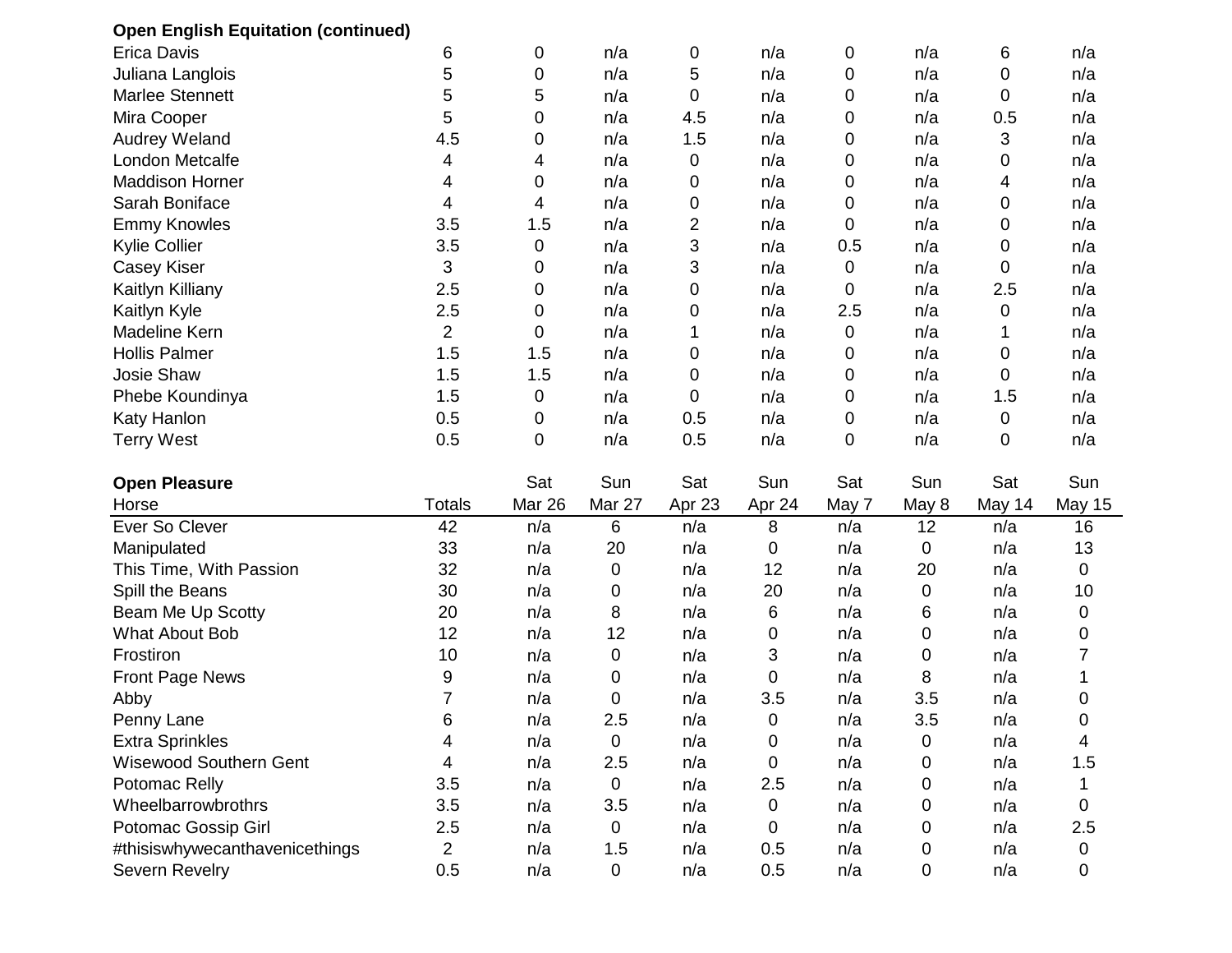| <b>Open English Equitation (continued)</b> |                |             |             |        |        |       |       |        |               |
|--------------------------------------------|----------------|-------------|-------------|--------|--------|-------|-------|--------|---------------|
| <b>Erica Davis</b>                         | 6              | 0           | n/a         | 0      | n/a    | 0     | n/a   | 6      | n/a           |
| Juliana Langlois                           | 5              | 0           | n/a         | 5      | n/a    | 0     | n/a   | 0      | n/a           |
| Marlee Stennett                            | 5              | 5           | n/a         | 0      | n/a    | 0     | n/a   | 0      | n/a           |
| Mira Cooper                                | 5              | 0           | n/a         | 4.5    | n/a    | 0     | n/a   | 0.5    | n/a           |
| <b>Audrey Weland</b>                       | 4.5            | 0           | n/a         | 1.5    | n/a    | 0     | n/a   | 3      | n/a           |
| London Metcalfe                            | 4              | 4           | n/a         | 0      | n/a    | 0     | n/a   | 0      | n/a           |
| <b>Maddison Horner</b>                     | 4              | 0           | n/a         | 0      | n/a    | 0     | n/a   | 4      | n/a           |
| Sarah Boniface                             | 4              | 4           | n/a         | 0      | n/a    | 0     | n/a   | 0      | n/a           |
| <b>Emmy Knowles</b>                        | 3.5            | 1.5         | n/a         | 2      | n/a    | 0     | n/a   | 0      | n/a           |
| <b>Kylie Collier</b>                       | 3.5            | 0           | n/a         | 3      | n/a    | 0.5   | n/a   | 0      | n/a           |
| <b>Casey Kiser</b>                         | 3              | 0           | n/a         | 3      | n/a    | 0     | n/a   | 0      | n/a           |
| Kaitlyn Killiany                           | 2.5            | 0           | n/a         | 0      | n/a    | 0     | n/a   | 2.5    | n/a           |
| Kaitlyn Kyle                               | 2.5            | 0           | n/a         | 0      | n/a    | 2.5   | n/a   | 0      | n/a           |
| Madeline Kern                              | $\overline{2}$ | 0           | n/a         | 1      | n/a    | 0     | n/a   | 1      | n/a           |
| <b>Hollis Palmer</b>                       | 1.5            | 1.5         | n/a         | 0      | n/a    | 0     | n/a   | 0      | n/a           |
| Josie Shaw                                 | 1.5            | 1.5         | n/a         | 0      | n/a    | 0     | n/a   | 0      | n/a           |
| Phebe Koundinya                            | 1.5            | $\mathbf 0$ | n/a         | 0      | n/a    | 0     | n/a   | 1.5    | n/a           |
| Katy Hanlon                                | 0.5            | $\mathbf 0$ | n/a         | 0.5    | n/a    | 0     | n/a   | 0      | n/a           |
| <b>Terry West</b>                          | 0.5            | $\mathbf 0$ | n/a         | 0.5    | n/a    | 0     | n/a   | 0      | n/a           |
| <b>Open Pleasure</b>                       |                | Sat         | Sun         | Sat    | Sun    | Sat   | Sun   | Sat    | Sun           |
| Horse                                      | <b>Totals</b>  | Mar 26      | Mar 27      | Apr 23 | Apr 24 | May 7 | May 8 | May 14 | <b>May 15</b> |
| Ever So Clever                             | 42             | n/a         | 6           | n/a    | 8      | n/a   | 12    | n/a    | 16            |
| Manipulated                                | 33             | n/a         | 20          | n/a    | 0      | n/a   | 0     | n/a    | 13            |
| This Time, With Passion                    | 32             | n/a         | 0           | n/a    | 12     | n/a   | 20    | n/a    | 0             |
| Spill the Beans                            | 30             | n/a         | 0           | n/a    | 20     | n/a   | 0     | n/a    | 10            |
| Beam Me Up Scotty                          | 20             | n/a         | 8           | n/a    | 6      | n/a   | 6     | n/a    | 0             |
| <b>What About Bob</b>                      | 12             | n/a         | 12          | n/a    | 0      | n/a   | 0     | n/a    | 0             |
| Frostiron                                  | 10             | n/a         | 0           | n/a    | 3      | n/a   | 0     | n/a    | 7             |
| <b>Front Page News</b>                     | 9              | n/a         | 0           | n/a    | 0      | n/a   | 8     | n/a    |               |
| Abby                                       | $\overline{7}$ | n/a         | 0           | n/a    | 3.5    | n/a   | 3.5   | n/a    | 0             |
| Penny Lane                                 | 6              | n/a         | 2.5         | n/a    | 0      | n/a   | 3.5   | n/a    | 0             |
| <b>Extra Sprinkles</b>                     | 4              | n/a         | 0           | n/a    | 0      | n/a   | 0     | n/a    | 4             |
| Wisewood Southern Gent                     | 4              | n/a         | 2.5         | n/a    | 0      | n/a   | 0     | n/a    | 1.5           |
| Potomac Relly                              | 3.5            | n/a         | 0           | n/a    | 2.5    | n/a   | 0     | n/a    |               |
| Wheelbarrowbrothrs                         | 3.5            | n/a         | 3.5         | n/a    | 0      | n/a   | 0     | n/a    | 0             |
| Potomac Gossip Girl                        | 2.5            | n/a         | 0           | n/a    | 0      | n/a   | 0     | n/a    | 2.5           |
| #thisiswhywecanthavenicethings             | $\overline{2}$ | n/a         | 1.5         | n/a    | 0.5    | n/a   | 0     | n/a    | 0             |
| Severn Revelry                             | 0.5            | n/a         | $\mathbf 0$ | n/a    | 0.5    | n/a   | 0     | n/a    | 0             |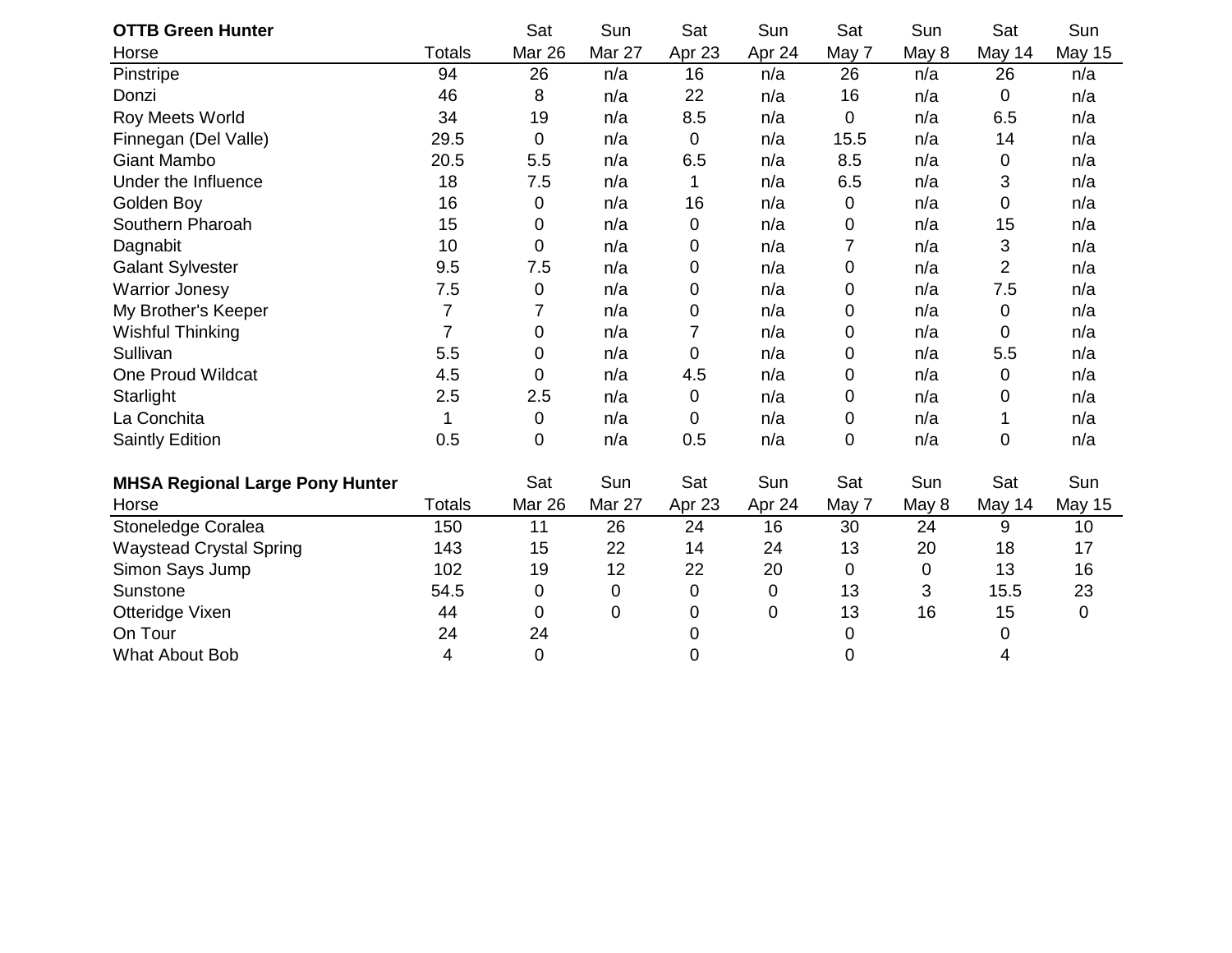| <b>OTTB Green Hunter</b>               |                | Sat         | Sun    | Sat          | Sun    | Sat   | Sun   | Sat            | Sun           |
|----------------------------------------|----------------|-------------|--------|--------------|--------|-------|-------|----------------|---------------|
| Horse                                  | <b>Totals</b>  | Mar 26      | Mar 27 | Apr 23       | Apr 24 | May 7 | May 8 | May 14         | <b>May 15</b> |
| Pinstripe                              | 94             | 26          | n/a    | 16           | n/a    | 26    | n/a   | 26             | n/a           |
| Donzi                                  | 46             | 8           | n/a    | 22           | n/a    | 16    | n/a   | 0              | n/a           |
| Roy Meets World                        | 34             | 19          | n/a    | 8.5          | n/a    | 0     | n/a   | 6.5            | n/a           |
| Finnegan (Del Valle)                   | 29.5           | $\mathbf 0$ | n/a    | 0            | n/a    | 15.5  | n/a   | 14             | n/a           |
| <b>Giant Mambo</b>                     | 20.5           | 5.5         | n/a    | 6.5          | n/a    | 8.5   | n/a   | $\pmb{0}$      | n/a           |
| Under the Influence                    | 18             | 7.5         | n/a    | $\mathbf{1}$ | n/a    | 6.5   | n/a   | 3              | n/a           |
| Golden Boy                             | 16             | $\mathbf 0$ | n/a    | 16           | n/a    | 0     | n/a   | 0              | n/a           |
| Southern Pharoah                       | 15             | 0           | n/a    | 0            | n/a    | 0     | n/a   | 15             | n/a           |
| Dagnabit                               | 10             | 0           | n/a    | 0            | n/a    | 7     | n/a   | 3              | n/a           |
| <b>Galant Sylvester</b>                | 9.5            | 7.5         | n/a    | 0            | n/a    | 0     | n/a   | $\overline{2}$ | n/a           |
| <b>Warrior Jonesy</b>                  | 7.5            | $\mathbf 0$ | n/a    | 0            | n/a    | 0     | n/a   | 7.5            | n/a           |
| My Brother's Keeper                    | 7              | 7           | n/a    | 0            | n/a    | 0     | n/a   | 0              | n/a           |
| <b>Wishful Thinking</b>                | $\overline{7}$ | 0           | n/a    | 7            | n/a    | 0     | n/a   | 0              | n/a           |
| Sullivan                               | 5.5            | 0           | n/a    | 0            | n/a    | 0     | n/a   | 5.5            | n/a           |
| One Proud Wildcat                      | 4.5            | 0           | n/a    | 4.5          | n/a    | 0     | n/a   | 0              | n/a           |
| Starlight                              | 2.5            | 2.5         | n/a    | 0            | n/a    | 0     | n/a   | 0              | n/a           |
| La Conchita                            | 1              | $\mathbf 0$ | n/a    | 0            | n/a    | 0     | n/a   | 1              | n/a           |
| <b>Saintly Edition</b>                 | 0.5            | 0           | n/a    | 0.5          | n/a    | 0     | n/a   | 0              | n/a           |
|                                        |                |             |        |              |        |       |       |                |               |
| <b>MHSA Regional Large Pony Hunter</b> |                | Sat         | Sun    | Sat          | Sun    | Sat   | Sun   | Sat            | Sun           |
| Horse                                  | Totals         | Mar 26      | Mar 27 | Apr 23       | Apr 24 | May 7 | May 8 | May 14         | <b>May 15</b> |
| Stoneledge Coralea                     | 150            | 11          | 26     | 24           | 16     | 30    | 24    | 9              | 10            |
| <b>Waystead Crystal Spring</b>         | 143            | 15          | 22     | 14           | 24     | 13    | 20    | 18             | 17            |
| Simon Says Jump                        | 102            | 19          | 12     | 22           | 20     | 0     | 0     | 13             | 16            |
| Sunstone                               | 54.5           | 0           | 0      | 0            | 0      | 13    | 3     | 15.5           | 23            |
| Otteridge Vixen                        | 44             | $\mathbf 0$ | 0      | 0            | 0      | 13    | 16    | 15             | $\mathbf 0$   |
| On Tour                                | 24             | 24          |        | 0            |        | 0     |       | 0              |               |
| <b>What About Bob</b>                  | 4              | 0           |        | 0            |        | 0     |       | 4              |               |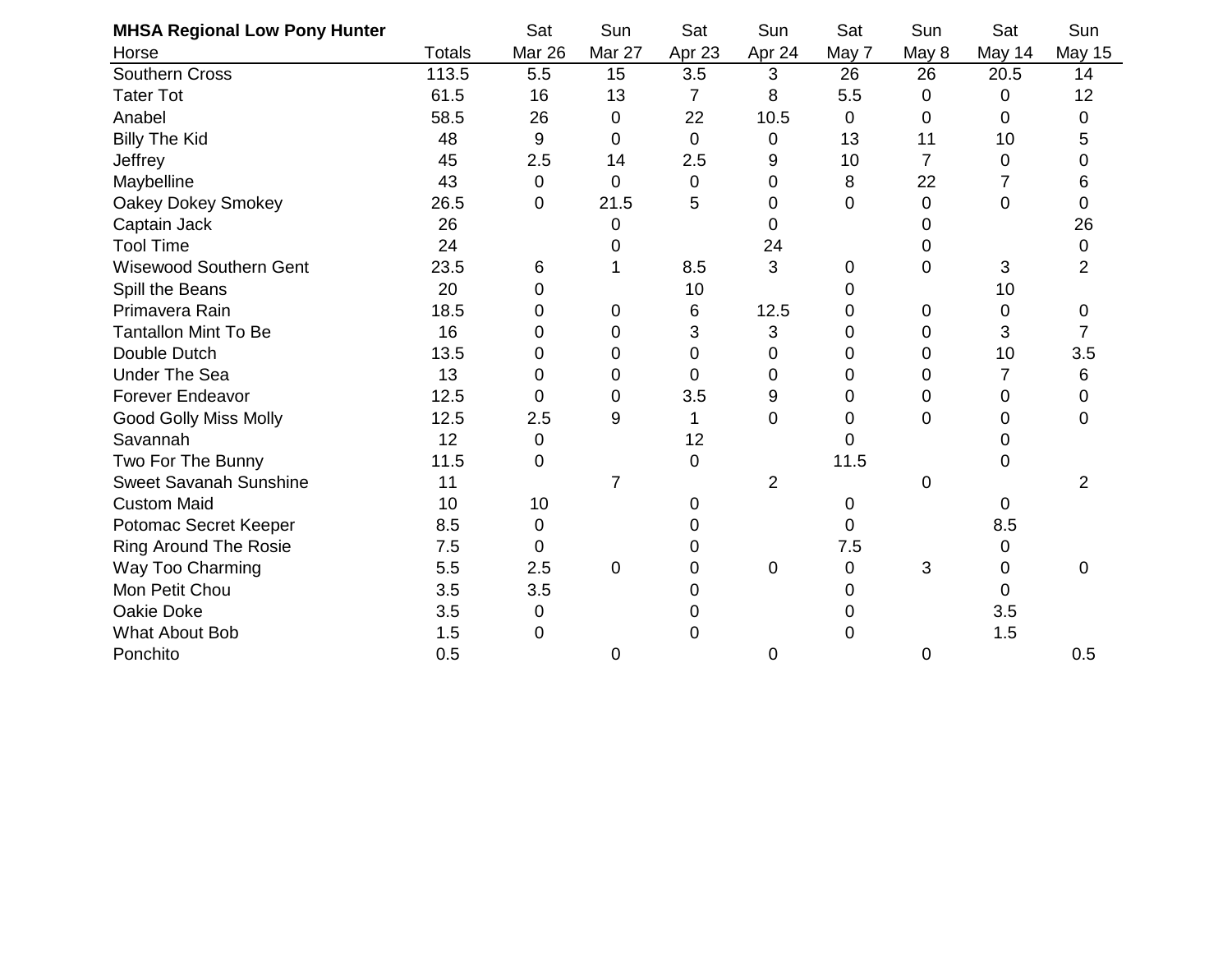| <b>MHSA Regional Low Pony Hunter</b> |               | Sat            | Sun    | Sat            | Sun            | Sat   | Sun   | Sat    | Sun           |
|--------------------------------------|---------------|----------------|--------|----------------|----------------|-------|-------|--------|---------------|
| Horse                                | <b>Totals</b> | Mar 26         | Mar 27 | Apr 23         | Apr 24         | May 7 | May 8 | May 14 | <b>May 15</b> |
| <b>Southern Cross</b>                | 113.5         | 5.5            | 15     | 3.5            | 3              | 26    | 26    | 20.5   | 14            |
| <b>Tater Tot</b>                     | 61.5          | 16             | 13     | $\overline{7}$ | 8              | 5.5   | 0     | 0      | 12            |
| Anabel                               | 58.5          | 26             | 0      | 22             | 10.5           | 0     | 0     | 0      | 0             |
| <b>Billy The Kid</b>                 | 48            | 9              | 0      | $\mathbf 0$    | 0              | 13    | 11    | 10     | 5             |
| Jeffrey                              | 45            | 2.5            | 14     | 2.5            | 9              | 10    | 7     | 0      | 0             |
| Maybelline                           | 43            | $\overline{0}$ | 0      | $\mathbf 0$    | 0              | 8     | 22    | 7      | 6             |
| Oakey Dokey Smokey                   | 26.5          | 0              | 21.5   | 5              | 0              | 0     | 0     | 0      | 0             |
| Captain Jack                         | 26            |                | 0      |                | 0              |       | 0     |        | 26            |
| <b>Tool Time</b>                     | 24            |                | 0      |                | 24             |       | 0     |        | 0             |
| <b>Wisewood Southern Gent</b>        | 23.5          | 6              |        | 8.5            | 3              | 0     | 0     | 3      | 2             |
| Spill the Beans                      | 20            | 0              |        | 10             |                | 0     |       | 10     |               |
| Primavera Rain                       | 18.5          | 0              | 0      | 6              | 12.5           | 0     | 0     | 0      | 0             |
| <b>Tantallon Mint To Be</b>          | 16            | 0              | 0      | 3              | 3              | 0     | 0     | 3      |               |
| Double Dutch                         | 13.5          | 0              | 0      | 0              | 0              | 0     | 0     | 10     | 3.5           |
| <b>Under The Sea</b>                 | 13            | $\Omega$       | 0      | 0              | 0              | 0     | 0     | 7      | 6             |
| <b>Forever Endeavor</b>              | 12.5          | 0              | 0      | 3.5            | 9              | 0     | 0     | 0      | 0             |
| <b>Good Golly Miss Molly</b>         | 12.5          | 2.5            | 9      | 1              | 0              | 0     | 0     | 0      | 0             |
| Savannah                             | 12            | $\mathbf 0$    |        | 12             |                | 0     |       | 0      |               |
| Two For The Bunny                    | 11.5          | $\Omega$       |        | 0              |                | 11.5  |       | 0      |               |
| <b>Sweet Savanah Sunshine</b>        | 11            |                | 7      |                | $\overline{2}$ |       | 0     |        | 2             |
| <b>Custom Maid</b>                   | 10            | 10             |        | 0              |                | 0     |       | 0      |               |
| Potomac Secret Keeper                | 8.5           | $\mathbf 0$    |        | 0              |                | 0     |       | 8.5    |               |
| <b>Ring Around The Rosie</b>         | 7.5           | $\Omega$       |        | 0              |                | 7.5   |       | 0      |               |
| Way Too Charming                     | 5.5           | 2.5            | 0      | 0              | 0              | 0     | 3     | 0      | 0             |
| Mon Petit Chou                       | 3.5           | 3.5            |        | 0              |                |       |       | 0      |               |
| Oakie Doke                           | 3.5           | 0              |        | O              |                |       |       | 3.5    |               |
| What About Bob                       | 1.5           | $\Omega$       |        | 0              |                | 0     |       | 1.5    |               |
| Ponchito                             | 0.5           |                | 0      |                | 0              |       | 0     |        | 0.5           |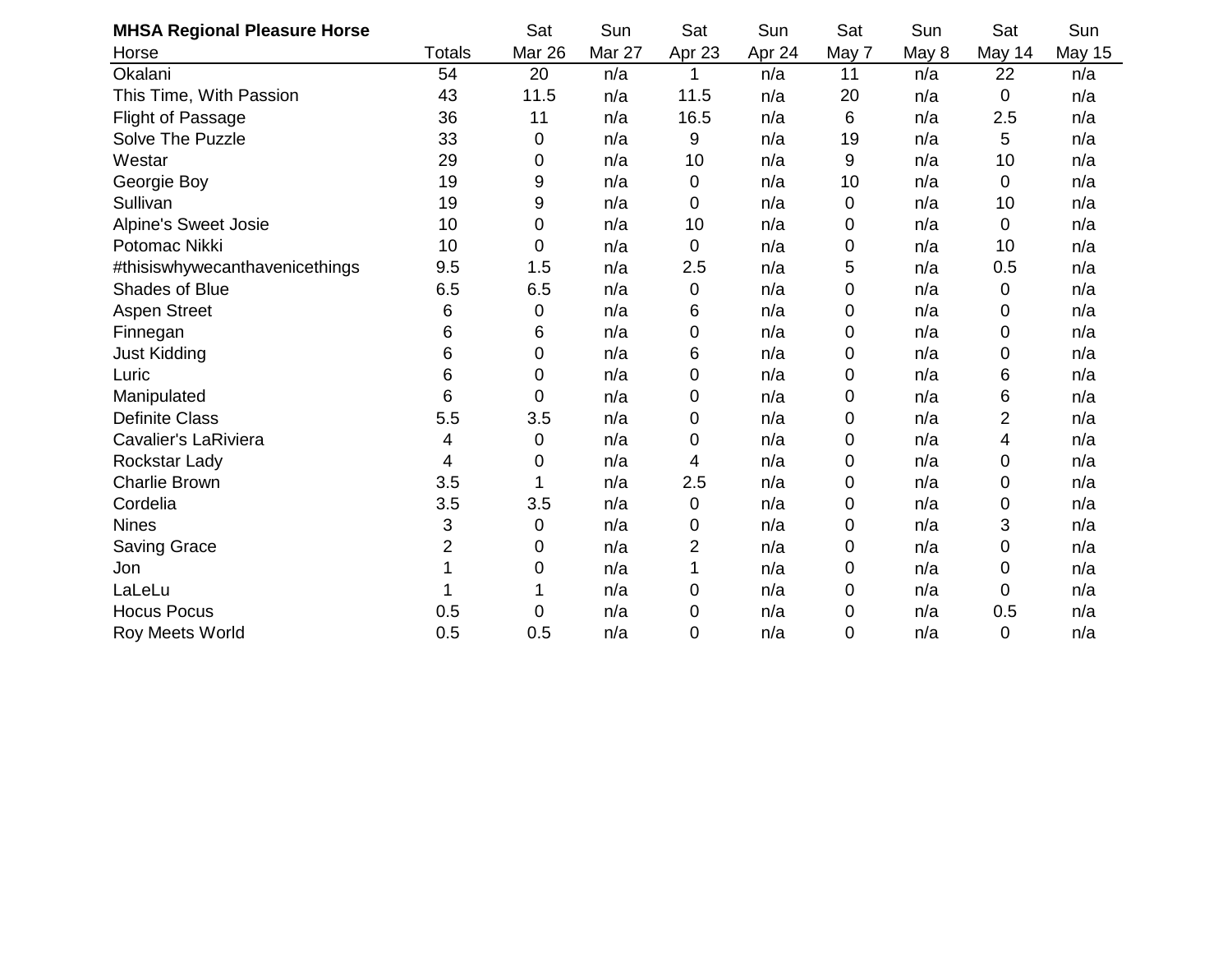| <b>MHSA Regional Pleasure Horse</b> |                | Sat            | Sun    | Sat    | Sun    | Sat   | Sun   | Sat    | Sun           |
|-------------------------------------|----------------|----------------|--------|--------|--------|-------|-------|--------|---------------|
| Horse                               | <b>Totals</b>  | Mar 26         | Mar 27 | Apr 23 | Apr 24 | May 7 | May 8 | May 14 | <b>May 15</b> |
| Okalani                             | 54             | 20             | n/a    | 1      | n/a    | 11    | n/a   | 22     | n/a           |
| This Time, With Passion             | 43             | 11.5           | n/a    | 11.5   | n/a    | 20    | n/a   | 0      | n/a           |
| <b>Flight of Passage</b>            | 36             | 11             | n/a    | 16.5   | n/a    | 6     | n/a   | 2.5    | n/a           |
| Solve The Puzzle                    | 33             | 0              | n/a    | 9      | n/a    | 19    | n/a   | 5      | n/a           |
| Westar                              | 29             | 0              | n/a    | 10     | n/a    | 9     | n/a   | 10     | n/a           |
| Georgie Boy                         | 19             | 9              | n/a    | 0      | n/a    | 10    | n/a   | 0      | n/a           |
| Sullivan                            | 19             | 9              | n/a    | 0      | n/a    | 0     | n/a   | 10     | n/a           |
| <b>Alpine's Sweet Josie</b>         | 10             | $\mathbf 0$    | n/a    | 10     | n/a    | 0     | n/a   | 0      | n/a           |
| Potomac Nikki                       | 10             | $\overline{0}$ | n/a    | 0      | n/a    | 0     | n/a   | 10     | n/a           |
| #thisiswhywecanthavenicethings      | 9.5            | 1.5            | n/a    | 2.5    | n/a    | 5     | n/a   | 0.5    | n/a           |
| Shades of Blue                      | 6.5            | 6.5            | n/a    | 0      | n/a    | 0     | n/a   | 0      | n/a           |
| <b>Aspen Street</b>                 | 6              | 0              | n/a    | 6      | n/a    | 0     | n/a   | 0      | n/a           |
| Finnegan                            | 6              | 6              | n/a    | 0      | n/a    | 0     | n/a   | 0      | n/a           |
| <b>Just Kidding</b>                 | 6              | 0              | n/a    | 6      | n/a    | 0     | n/a   | 0      | n/a           |
| Luric                               | 6              | 0              | n/a    | 0      | n/a    | 0     | n/a   | 6      | n/a           |
| Manipulated                         | 6              | 0              | n/a    | 0      | n/a    | 0     | n/a   | 6      | n/a           |
| <b>Definite Class</b>               | 5.5            | 3.5            | n/a    | 0      | n/a    | 0     | n/a   | 2      | n/a           |
| <b>Cavalier's LaRiviera</b>         | 4              | $\mathbf 0$    | n/a    | 0      | n/a    | 0     | n/a   | 4      | n/a           |
| Rockstar Lady                       | 4              | 0              | n/a    | 4      | n/a    | 0     | n/a   | 0      | n/a           |
| <b>Charlie Brown</b>                | 3.5            |                | n/a    | 2.5    | n/a    | 0     | n/a   | 0      | n/a           |
| Cordelia                            | 3.5            | 3.5            | n/a    | 0      | n/a    | 0     | n/a   | 0      | n/a           |
| <b>Nines</b>                        | 3              | 0              | n/a    | 0      | n/a    | 0     | n/a   | 3      | n/a           |
| <b>Saving Grace</b>                 | $\overline{2}$ | 0              | n/a    | 2      | n/a    | 0     | n/a   | 0      | n/a           |
| Jon                                 |                | 0              | n/a    |        | n/a    | 0     | n/a   | 0      | n/a           |
| LaLeLu                              |                |                | n/a    | 0      | n/a    | 0     | n/a   | 0      | n/a           |
| <b>Hocus Pocus</b>                  | 0.5            | 0              | n/a    | 0      | n/a    | 0     | n/a   | 0.5    | n/a           |
| <b>Roy Meets World</b>              | 0.5            | 0.5            | n/a    | 0      | n/a    | 0     | n/a   | 0      | n/a           |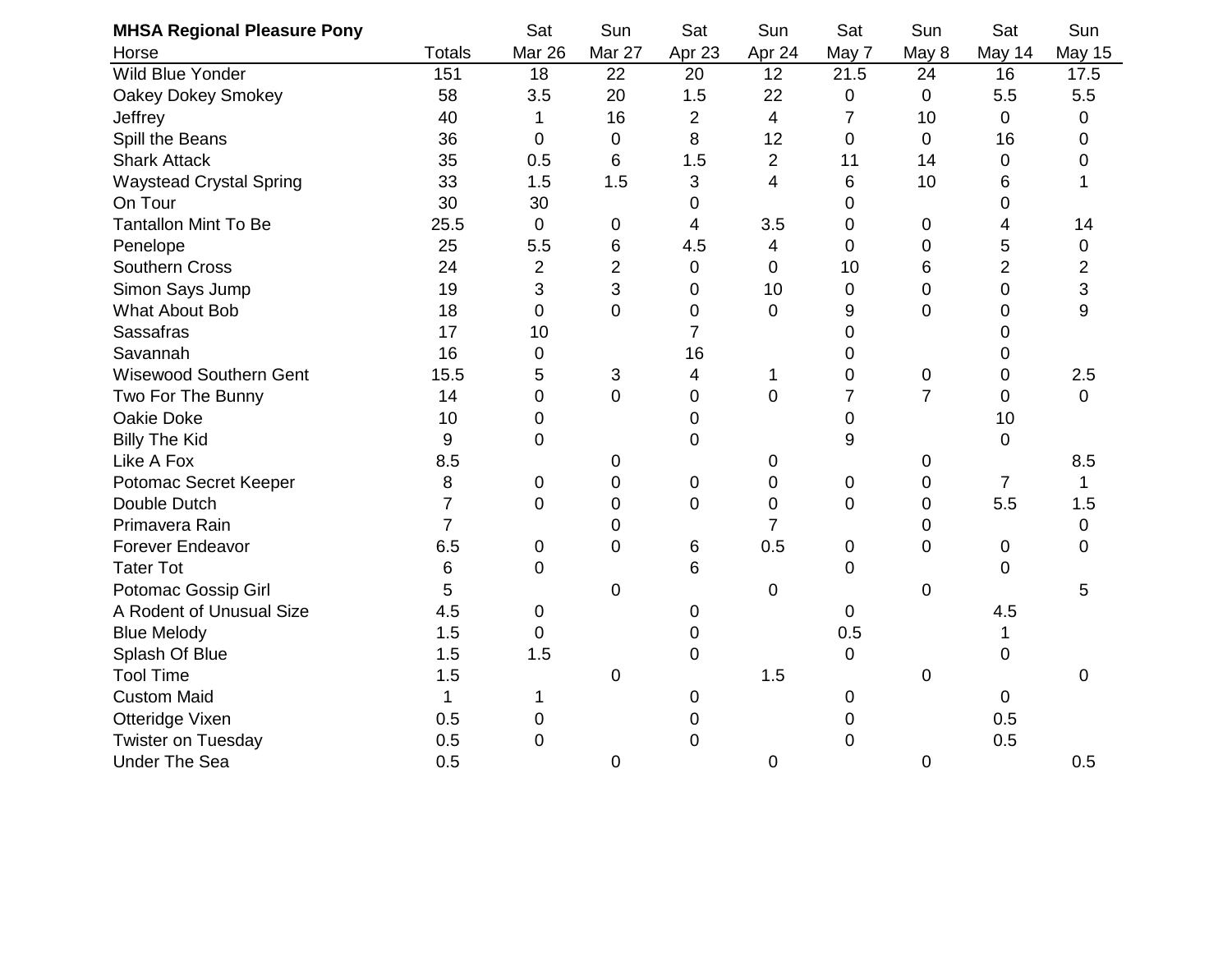| <b>MHSA Regional Pleasure Pony</b> |                | Sat            | Sun            | Sat            | Sun                      | Sat            | Sun            | Sat            | Sun            |
|------------------------------------|----------------|----------------|----------------|----------------|--------------------------|----------------|----------------|----------------|----------------|
| Horse                              | <b>Totals</b>  | <b>Mar 26</b>  | Mar 27         | Apr 23         | Apr 24                   | May 7          | May 8          | May 14         | <b>May 15</b>  |
| Wild Blue Yonder                   | 151            | 18             | 22             | 20             | 12                       | 21.5           | 24             | 16             | 17.5           |
| Oakey Dokey Smokey                 | 58             | 3.5            | 20             | 1.5            | 22                       | 0              | $\mathbf 0$    | 5.5            | 5.5            |
| Jeffrey                            | 40             | 1              | 16             | $\overline{2}$ | $\overline{\mathcal{A}}$ | 7              | 10             | 0              | 0              |
| Spill the Beans                    | 36             | $\mathbf 0$    | 0              | 8              | 12                       | 0              | $\mathbf 0$    | 16             | 0              |
| <b>Shark Attack</b>                | 35             | 0.5            | 6              | 1.5            | $\overline{2}$           | 11             | 14             | 0              | $\overline{0}$ |
| <b>Waystead Crystal Spring</b>     | 33             | 1.5            | 1.5            | 3              | 4                        | 6              | 10             | 6              |                |
| On Tour                            | 30             | 30             |                | 0              |                          | 0              |                | 0              |                |
| <b>Tantallon Mint To Be</b>        | 25.5           | $\overline{0}$ | 0              | 4              | 3.5                      | 0              | $\mathbf 0$    | 4              | 14             |
| Penelope                           | 25             | 5.5            | 6              | 4.5            | 4                        | 0              | $\mathbf 0$    | 5              | 0              |
| <b>Southern Cross</b>              | 24             | $\overline{2}$ | $\overline{2}$ | 0              | 0                        | 10             | 6              | $\overline{2}$ | 2              |
| Simon Says Jump                    | 19             | 3              | 3              | 0              | 10                       | 0              | $\mathbf 0$    | $\mathbf 0$    | 3              |
| What About Bob                     | 18             | $\mathbf 0$    | $\mathbf 0$    | 0              | $\mathbf 0$              | 9              | $\mathbf 0$    | 0              | 9              |
| Sassafras                          | 17             | 10             |                | $\overline{7}$ |                          | 0              |                | 0              |                |
| Savannah                           | 16             | $\mathbf 0$    |                | 16             |                          | 0              |                | 0              |                |
| <b>Wisewood Southern Gent</b>      | 15.5           | 5              | 3              | $\overline{4}$ | 1                        | 0              | $\mathbf 0$    | $\mathbf 0$    | 2.5            |
| Two For The Bunny                  | 14             | $\overline{0}$ | $\mathbf 0$    | 0              | $\overline{0}$           | $\overline{7}$ | $\overline{7}$ | 0              | $\mathbf 0$    |
| Oakie Doke                         | 10             | $\pmb{0}$      |                | 0              |                          | 0              |                | 10             |                |
| <b>Billy The Kid</b>               | 9              | 0              |                | 0              |                          | 9              |                | 0              |                |
| Like A Fox                         | 8.5            |                | 0              |                | 0                        |                | 0              |                | 8.5            |
| Potomac Secret Keeper              | 8              | $\pmb{0}$      | 0              | 0              | $\pmb{0}$                | 0              | 0              | $\overline{7}$ | 1              |
| Double Dutch                       | $\overline{7}$ | $\overline{0}$ | $\mathbf 0$    | 0              | $\pmb{0}$                | 0              | $\mathbf 0$    | 5.5            | 1.5            |
| Primavera Rain                     | 7              |                | 0              |                | $\overline{7}$           |                | $\overline{0}$ |                | 0              |
| Forever Endeavor                   | 6.5            | $\overline{0}$ | $\overline{0}$ | 6              | 0.5                      | 0              | $\mathbf 0$    | 0              | $\Omega$       |
| <b>Tater Tot</b>                   | 6              | $\mathbf 0$    |                | 6              |                          | 0              |                | 0              |                |
| Potomac Gossip Girl                | 5              |                | $\mathbf 0$    |                | 0                        |                | $\mathbf 0$    |                | 5              |
| A Rodent of Unusual Size           | 4.5            | $\mathbf 0$    |                | 0              |                          | 0              |                | 4.5            |                |
| <b>Blue Melody</b>                 | 1.5            | 0              |                | 0              |                          | 0.5            |                | 1              |                |
| Splash Of Blue                     | 1.5            | 1.5            |                | 0              |                          | 0              |                | 0              |                |
| <b>Tool Time</b>                   | 1.5            |                | $\mathbf 0$    |                | 1.5                      |                | $\mathbf 0$    |                | 0              |
| <b>Custom Maid</b>                 | 1              | 1              |                | 0              |                          | 0              |                | 0              |                |
| Otteridge Vixen                    | 0.5            | $\overline{0}$ |                | 0              |                          | 0              |                | 0.5            |                |
| Twister on Tuesday                 | 0.5            | $\mathbf 0$    |                | 0              |                          | 0              |                | 0.5            |                |
| <b>Under The Sea</b>               | 0.5            |                | 0              |                | $\mathbf 0$              |                | $\mathbf 0$    |                | 0.5            |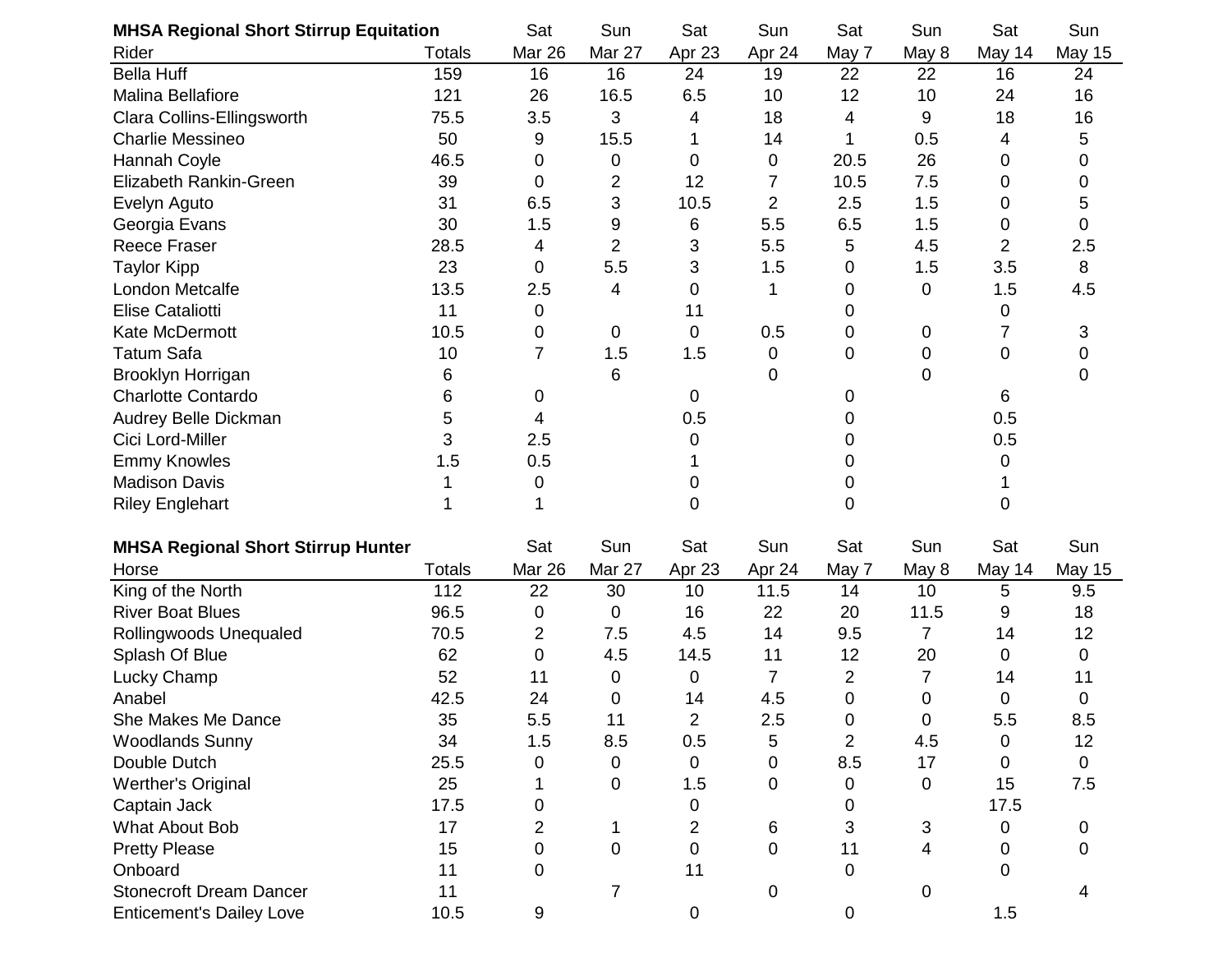| <b>MHSA Regional Short Stirrup Equitation</b> |               | Sat            | Sun            | Sat            | Sun            | Sat            | Sun   | Sat    | Sun           |
|-----------------------------------------------|---------------|----------------|----------------|----------------|----------------|----------------|-------|--------|---------------|
| Rider                                         | <b>Totals</b> | Mar 26         | Mar 27         | Apr 23         | Apr 24         | May 7          | May 8 | May 14 | <b>May 15</b> |
| <b>Bella Huff</b>                             | 159           | 16             | 16             | 24             | 19             | 22             | 22    | 16     | 24            |
| <b>Malina Bellafiore</b>                      | 121           | 26             | 16.5           | 6.5            | 10             | 12             | 10    | 24     | 16            |
| Clara Collins-Ellingsworth                    | 75.5          | 3.5            | 3              | 4              | 18             | 4              | 9     | 18     | 16            |
| <b>Charlie Messineo</b>                       | 50            | 9              | 15.5           | 1              | 14             | 1              | 0.5   | 4      | 5             |
| Hannah Coyle                                  | 46.5          | 0              | 0              | 0              | 0              | 20.5           | 26    | 0      | 0             |
| Elizabeth Rankin-Green                        | 39            | 0              | 2              | 12             | 7              | 10.5           | 7.5   | 0      | 0             |
| Evelyn Aguto                                  | 31            | 6.5            | 3              | 10.5           | $\overline{2}$ | 2.5            | 1.5   | 0      | 5             |
| Georgia Evans                                 | 30            | 1.5            | 9              | 6              | 5.5            | 6.5            | 1.5   | 0      | 0             |
| <b>Reece Fraser</b>                           | 28.5          | 4              | $\overline{2}$ | 3              | 5.5            | 5              | 4.5   | 2      | 2.5           |
| <b>Taylor Kipp</b>                            | 23            | 0              | 5.5            | 3              | 1.5            | 0              | 1.5   | 3.5    | 8             |
| London Metcalfe                               | 13.5          | 2.5            | 4              | 0              |                | 0              | 0     | 1.5    | 4.5           |
| <b>Elise Cataliotti</b>                       | 11            | $\mathbf 0$    |                | 11             |                | 0              |       | 0      |               |
| Kate McDermott                                | 10.5          | 0              | 0              | 0              | 0.5            | 0              | 0     | 7      | 3             |
| <b>Tatum Safa</b>                             | 10            | $\overline{7}$ | 1.5            | 1.5            | 0              | 0              | 0     | 0      | 0             |
| Brooklyn Horrigan                             | 6             |                | 6              |                | 0              |                | 0     |        | 0             |
| <b>Charlotte Contardo</b>                     | 6             | 0              |                | 0              |                | 0              |       | 6      |               |
| Audrey Belle Dickman                          | 5             | 4              |                | 0.5            |                | 0              |       | 0.5    |               |
| Cici Lord-Miller                              | 3             | 2.5            |                | 0              |                | 0              |       | 0.5    |               |
| <b>Emmy Knowles</b>                           | 1.5           | 0.5            |                |                |                | 0              |       | 0      |               |
| <b>Madison Davis</b>                          |               | 0              |                | 0              |                | 0              |       |        |               |
| <b>Riley Englehart</b>                        |               |                |                | 0              |                | 0              |       | 0      |               |
| <b>MHSA Regional Short Stirrup Hunter</b>     |               | Sat            | Sun            | Sat            | Sun            | Sat            | Sun   | Sat    | Sun           |
| Horse                                         | <b>Totals</b> | <b>Mar 26</b>  | Mar 27         | Apr 23         | Apr 24         | May 7          | May 8 | May 14 | <b>May 15</b> |
| King of the North                             | 112           | 22             | 30             | 10             | 11.5           | 14             | 10    | 5      | 9.5           |
| <b>River Boat Blues</b>                       | 96.5          | 0              | 0              | 16             | 22             | 20             | 11.5  | 9      | 18            |
| Rollingwoods Unequaled                        | 70.5          | $\overline{2}$ | 7.5            | 4.5            | 14             | 9.5            | 7     | 14     | 12            |
| Splash Of Blue                                | 62            | 0              | 4.5            | 14.5           | 11             | 12             | 20    | 0      | 0             |
| Lucky Champ                                   | 52            | 11             | 0              | 0              | 7              | 2              | 7     | 14     | 11            |
| Anabel                                        | 42.5          | 24             | 0              | 14             | 4.5            | 0              | 0     | 0      | 0             |
| She Makes Me Dance                            | 35            | 5.5            | 11             | 2              | 2.5            | 0              | 0     | 5.5    | 8.5           |
| <b>Woodlands Sunny</b>                        | 34            | 1.5            | 8.5            | 0.5            | 5              | $\overline{2}$ | 4.5   | 0      | 12            |
| Double Dutch                                  | 25.5          | 0              | 0              | $\overline{0}$ | $\overline{0}$ | 8.5            | 17    | 0      | $\mathbf 0$   |
| <b>Werther's Original</b>                     | 25            |                | 0              | 1.5            | 0              | 0              | 0     | 15     | 7.5           |
| Captain Jack                                  | 17.5          | 0              |                | 0              |                | 0              |       | 17.5   |               |
| What About Bob                                | 17            | $\overline{2}$ | 1.             | 2              | 6              | 3              | 3     | 0      | 0             |
| <b>Pretty Please</b>                          | 15            | 0              | 0              | 0              | 0              | 11             | 4     | 0      | 0             |
| Onboard                                       | 11            | 0              |                | 11             |                | 0              |       | 0      |               |
| <b>Stonecroft Dream Dancer</b>                | 11            |                | 7              |                | 0              |                | 0     |        |               |
| <b>Enticement's Dailey Love</b>               | 10.5          | 9              |                | 0              |                | 0              |       | 1.5    |               |
|                                               |               |                |                |                |                |                |       |        |               |